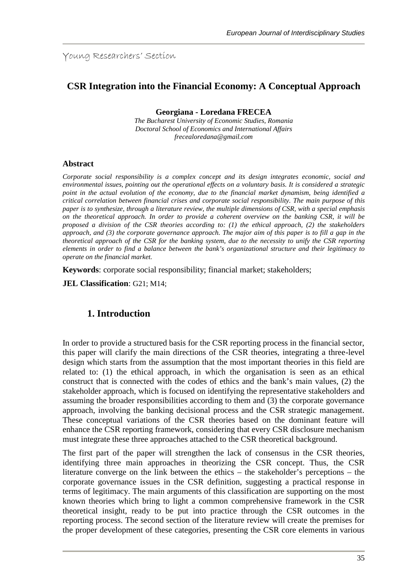Young Researchers' Section

## **CSR Integration into the Financial Economy: A Conceptual Approach**

**Georgiana - Loredana FRECEA**

*The Bucharest University of Economic Studies, Romania Doctoral School of Economics and International Affairs frecealoredana@gmail.com*

#### **Abstract**

*Corporate social responsibility is a complex concept and its design integrates economic, social and environmental issues, pointing out the operational effects on a voluntary basis. It is considered a strategic point in the actual evolution of the economy, due to the financial market dynamism, being identified a critical correlation between financial crises and corporate social responsibility. The main purpose of this paper is to synthesize, through a literature review, the multiple dimensions of CSR, with a special emphasis on the theoretical approach. In order to provide a coherent overview on the banking CSR, it will be proposed a division of the CSR theories according to: (1) the ethical approach, (2) the stakeholders approach, and (3) the corporate governance approach. The major aim of this paper is to fill a gap in the theoretical approach of the CSR for the banking system, due to the necessity to unify the CSR reporting elements in order to find a balance between the bank's organizational structure and their legitimacy to operate on the financial market.*

**Keywords**: corporate social responsibility; financial market; stakeholders;

**JEL Classification**: G21; M14;

### **1. Introduction**

In order to provide a structured basis for the CSR reporting process in the financial sector, this paper will clarify the main directions of the CSR theories, integrating a three-level design which starts from the assumption that the most important theories in this field are related to: (1) the ethical approach, in which the organisation is seen as an ethical construct that is connected with the codes of ethics and the bank's main values, (2) the stakeholder approach, which is focused on identifying the representative stakeholders and assuming the broader responsibilities according to them and (3) the corporate governance approach, involving the banking decisional process and the CSR strategic management. These conceptual variations of the CSR theories based on the dominant feature will enhance the CSR reporting framework, considering that every CSR disclosure mechanism must integrate these three approaches attached to the CSR theoretical background.

The first part of the paper will strengthen the lack of consensus in the CSR theories, identifying three main approaches in theorizing the CSR concept. Thus, the CSR literature converge on the link between the ethics – the stakeholder's perceptions – the corporate governance issues in the CSR definition, suggesting a practical response in terms of legitimacy. The main arguments of this classification are supporting on the most known theories which bring to light a common comprehensive framework in the CSR theoretical insight, ready to be put into practice through the CSR outcomes in the reporting process. The second section of the literature review will create the premises for the proper development of these categories, presenting the CSR core elements in various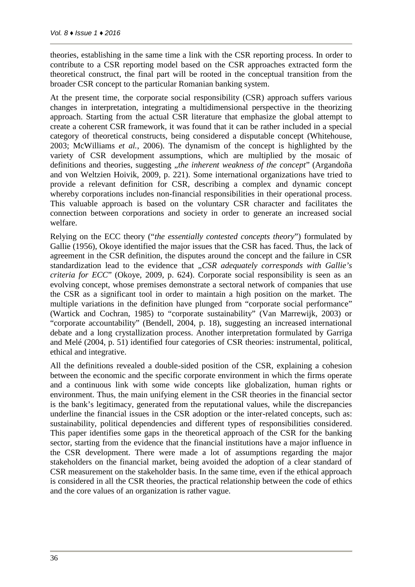theories, establishing in the same time a link with the CSR reporting process. In order to contribute to a CSR reporting model based on the CSR approaches extracted form the theoretical construct, the final part will be rooted in the conceptual transition from the broader CSR concept to the particular Romanian banking system.

At the present time, the corporate social responsibility (CSR) approach suffers various changes in interpretation, integrating a multidimensional perspective in the theorizing approach. Starting from the actual CSR literature that emphasize the global attempt to create a coherent CSR framework, it was found that it can be rather included in a special category of theoretical constructs, being considered a disputable concept (Whitehouse, 2003; McWilliams *et al.*, 2006). The dynamism of the concept is highlighted by the variety of CSR development assumptions, which are multiplied by the mosaic of definitions and theories, suggesting *"the inherent weakness of the concept*" (Argandoña and von Weltzien Hoivik, 2009, p. 221). Some international organizations have tried to provide a relevant definition for CSR, describing a complex and dynamic concept whereby corporations includes non-financial responsibilities in their operational process. This valuable approach is based on the voluntary CSR character and facilitates the connection between corporations and society in order to generate an increased social welfare.

Relying on the ECC theory ("*the essentially contested concepts theory*") formulated by Gallie (1956), Okoye identified the major issues that the CSR has faced. Thus, the lack of agreement in the CSR definition, the disputes around the concept and the failure in CSR standardization lead to the evidence that "*CSR adequately corresponds with Gallie's criteria for ECC*" (Okoye, 2009, p. 624). Corporate social responsibility is seen as an evolving concept, whose premises demonstrate a sectoral network of companies that use the CSR as a significant tool in order to maintain a high position on the market. The multiple variations in the definition have plunged from "corporate social performance" (Wartick and Cochran, 1985) to "corporate sustainability" (Van Marrewijk, 2003) or "corporate accountability" (Bendell, 2004, p. 18), suggesting an increased international debate and a long crystallization process. Another interpretation formulated by Garriga and Melé (2004, p. 51) identified four categories of CSR theories: instrumental, political, ethical and integrative.

All the definitions revealed a double-sided position of the CSR, explaining a cohesion between the economic and the specific corporate environment in which the firms operate and a continuous link with some wide concepts like globalization, human rights or environment. Thus, the main unifying element in the CSR theories in the financial sector is the bank's legitimacy, generated from the reputational values, while the discrepancies underline the financial issues in the CSR adoption or the inter-related concepts, such as: sustainability, political dependencies and different types of responsibilities considered. This paper identifies some gaps in the theoretical approach of the CSR for the banking sector, starting from the evidence that the financial institutions have a major influence in the CSR development. There were made a lot of assumptions regarding the major stakeholders on the financial market, being avoided the adoption of a clear standard of CSR measurement on the stakeholder basis. In the same time, even if the ethical approach is considered in all the CSR theories, the practical relationship between the code of ethics and the core values of an organization is rather vague.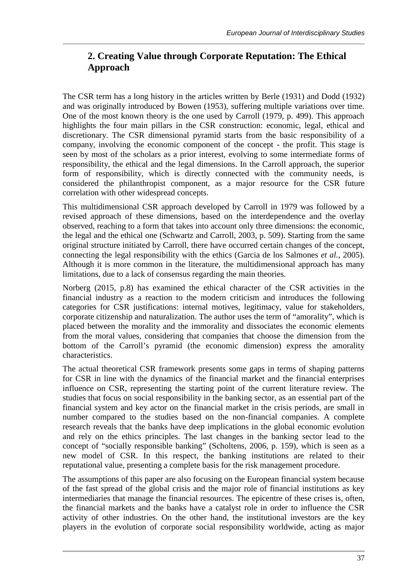# **2. Creating Value through Corporate Reputation: The Ethical Approach**

The CSR term has a long history in the articles written by Berle (1931) and Dodd (1932) and was originally introduced by Bowen (1953), suffering multiple variations over time. One of the most known theory is the one used by Carroll (1979, p. 499). This approach highlights the four main pillars in the CSR construction: economic, legal, ethical and discretionary. The CSR dimensional pyramid starts from the basic responsibility of a company, involving the economic component of the concept - the profit. This stage is seen by most of the scholars as a prior interest, evolving to some intermediate forms of responsibility, the ethical and the legal dimensions. In the Carroll approach, the superior form of responsibility, which is directly connected with the community needs, is considered the philanthropist component, as a major resource for the CSR future correlation with other widespread concepts.

This multidimensional CSR approach developed by Carroll in 1979 was followed by a revised approach of these dimensions, based on the interdependence and the overlay observed, reaching to a form that takes into account only three dimensions: the economic, the legal and the ethical one (Schwartz and Carroll, 2003, p. 509). Starting from the same original structure initiated by Carroll, there have occurred certain changes of the concept, connecting the legal responsibility with the ethics (Garcia de los Salmones *et al.*, 2005). Although it is more common in the literature, the multidimensional approach has many limitations, due to a lack of consensus regarding the main theories.

Norberg (2015, p.8) has examined the ethical character of the CSR activities in the financial industry as a reaction to the modern criticism and introduces the following categories for CSR justifications: internal motives, legitimacy, value for stakeholders, corporate citizenship and naturalization. The author uses the term of "amorality", which is placed between the morality and the immorality and dissociates the economic elements from the moral values, considering that companies that choose the dimension from the bottom of the Carroll's pyramid (the economic dimension) express the amorality characteristics.

The actual theoretical CSR framework presents some gaps in terms of shaping patterns for CSR in line with the dynamics of the financial market and the financial enterprises influence on CSR, representing the starting point of the current literature review. The studies that focus on social responsibility in the banking sector, as an essential part of the financial system and key actor on the financial market in the crisis periods, are small in number compared to the studies based on the non-financial companies. A complete research reveals that the banks have deep implications in the global economic evolution and rely on the ethics principles. The last changes in the banking sector lead to the concept of "socially responsible banking" (Scholtens, 2006, p. 159), which is seen as a new model of CSR. In this respect, the banking institutions are related to their reputational value, presenting a complete basis for the risk management procedure.

The assumptions of this paper are also focusing on the European financial system because of the fast spread of the global crisis and the major role of financial institutions as key intermediaries that manage the financial resources. The epicentre of these crises is, often, the financial markets and the banks have a catalyst role in order to influence the CSR activity of other industries. On the other hand, the institutional investors are the key players in the evolution of corporate social responsibility worldwide, acting as major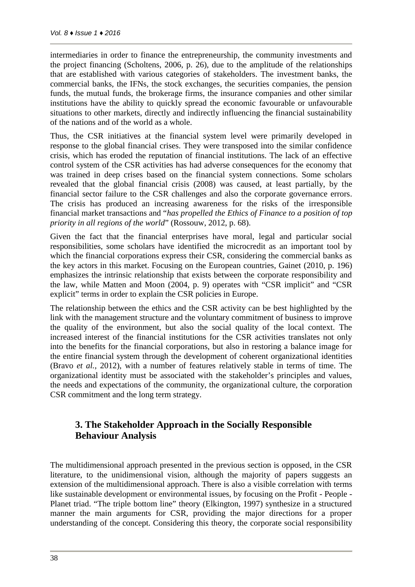intermediaries in order to finance the entrepreneurship, the community investments and the project financing (Scholtens, 2006, p. 26), due to the amplitude of the relationships that are established with various categories of stakeholders. The investment banks, the commercial banks, the IFNs, the stock exchanges, the securities companies, the pension funds, the mutual funds, the brokerage firms, the insurance companies and other similar institutions have the ability to quickly spread the economic favourable or unfavourable situations to other markets, directly and indirectly influencing the financial sustainability of the nations and of the world as a whole.

Thus, the CSR initiatives at the financial system level were primarily developed in response to the global financial crises. They were transposed into the similar confidence crisis, which has eroded the reputation of financial institutions. The lack of an effective control system of the CSR activities has had adverse consequences for the economy that was trained in deep crises based on the financial system connections. Some scholars revealed that the global financial crisis (2008) was caused, at least partially, by the financial sector failure to the CSR challenges and also the corporate governance errors. The crisis has produced an increasing awareness for the risks of the irresponsible financial market transactions and "*has propelled the Ethics of Finance to a position of top priority in all regions of the world*" (Rossouw, 2012, p. 68).

Given the fact that the financial enterprises have moral, legal and particular social responsibilities, some scholars have identified the microcredit as an important tool by which the financial corporations express their CSR, considering the commercial banks as the key actors in this market. Focusing on the European countries, Gainet (2010, p. 196) emphasizes the intrinsic relationship that exists between the corporate responsibility and the law, while Matten and Moon (2004, p. 9) operates with "CSR implicit" and "CSR explicit" terms in order to explain the CSR policies in Europe.

The relationship between the ethics and the CSR activity can be best highlighted by the link with the management structure and the voluntary commitment of business to improve the quality of the environment, but also the social quality of the local context. The increased interest of the financial institutions for the CSR activities translates not only into the benefits for the financial corporations, but also in restoring a balance image for the entire financial system through the development of coherent organizational identities (Bravo *et al.*, 2012), with a number of features relatively stable in terms of time. The organizational identity must be associated with the stakeholder's principles and values, the needs and expectations of the community, the organizational culture, the corporation CSR commitment and the long term strategy.

# **3. The Stakeholder Approach in the Socially Responsible Behaviour Analysis**

The multidimensional approach presented in the previous section is opposed, in the CSR literature, to the unidimensional vision, although the majority of papers suggests an extension of the multidimensional approach. There is also a visible correlation with terms like sustainable development or environmental issues, by focusing on the Profit - People - Planet triad. "The triple bottom line" theory (Elkington, 1997) synthesize in a structured manner the main arguments for CSR, providing the major directions for a proper understanding of the concept. Considering this theory, the corporate social responsibility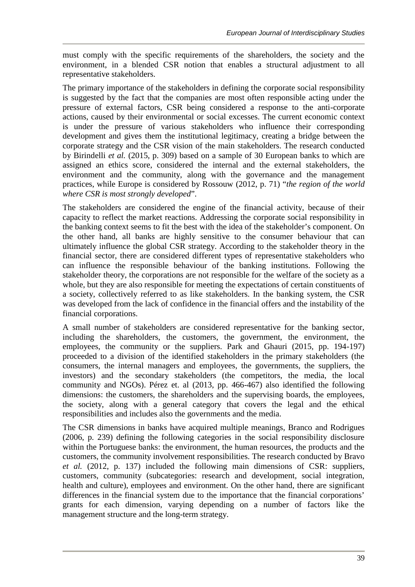must comply with the specific requirements of the shareholders, the society and the environment, in a blended CSR notion that enables a structural adjustment to all representative stakeholders.

The primary importance of the stakeholders in defining the corporate social responsibility is suggested by the fact that the companies are most often responsible acting under the pressure of external factors, CSR being considered a response to the anti-corporate actions, caused by their environmental or social excesses. The current economic context is under the pressure of various stakeholders who influence their corresponding development and gives them the institutional legitimacy, creating a bridge between the corporate strategy and the CSR vision of the main stakeholders. The research conducted by Birindelli *et al.* (2015, p. 309) based on a sample of 30 European banks to which are assigned an ethics score, considered the internal and the external stakeholders, the environment and the community, along with the governance and the management practices, while Europe is considered by Rossouw (2012, p. 71) "*the region of the world where CSR is most strongly developed*".

The stakeholders are considered the engine of the financial activity, because of their capacity to reflect the market reactions. Addressing the corporate social responsibility in the banking context seems to fit the best with the idea of the stakeholder's component. On the other hand, all banks are highly sensitive to the consumer behaviour that can ultimately influence the global CSR strategy. According to the stakeholder theory in the financial sector, there are considered different types of representative stakeholders who can influence the responsible behaviour of the banking institutions. Following the stakeholder theory, the corporations are not responsible for the welfare of the society as a whole, but they are also responsible for meeting the expectations of certain constituents of a society, collectively referred to as like stakeholders. In the banking system, the CSR was developed from the lack of confidence in the financial offers and the instability of the financial corporations.

A small number of stakeholders are considered representative for the banking sector, including the shareholders, the customers, the government, the environment, the employees, the community or the suppliers. Park and Ghauri (2015, pp. 194-197) proceeded to a division of the identified stakeholders in the primary stakeholders (the consumers, the internal managers and employees, the governments, the suppliers, the investors) and the secondary stakeholders (the competitors, the media, the local community and NGOs). Pérez et. al (2013, pp. 466-467) also identified the following dimensions: the customers, the shareholders and the supervising boards, the employees, the society, along with a general category that covers the legal and the ethical responsibilities and includes also the governments and the media.

The CSR dimensions in banks have acquired multiple meanings, Branco and Rodrigues (2006, p. 239) defining the following categories in the social responsibility disclosure within the Portuguese banks: the environment, the human resources, the products and the customers, the community involvement responsibilities. The research conducted by Bravo *et al.* (2012, p. 137) included the following main dimensions of CSR: suppliers, customers, community (subcategories: research and development, social integration, health and culture), employees and environment. On the other hand, there are significant differences in the financial system due to the importance that the financial corporations' grants for each dimension, varying depending on a number of factors like the management structure and the long-term strategy.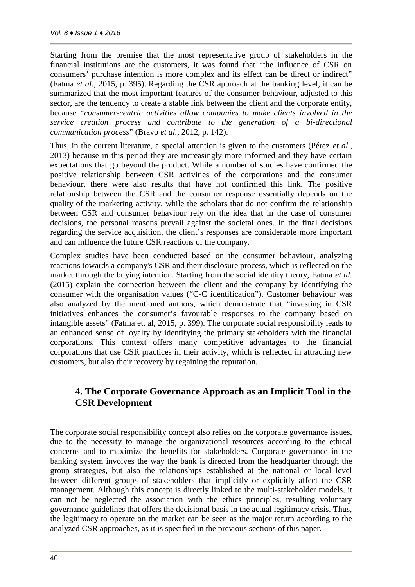Starting from the premise that the most representative group of stakeholders in the financial institutions are the customers, it was found that "the influence of CSR on consumers' purchase intention is more complex and its effect can be direct or indirect" (Fatma *et al.*, 2015, p. 395). Regarding the CSR approach at the banking level, it can be summarized that the most important features of the consumer behaviour, adjusted to this sector, are the tendency to create a stable link between the client and the corporate entity, because "*consumer-centric activities allow companies to make clients involved in the service creation process and contribute to the generation of a bi-directional communication process*" (Bravo *et al.*, 2012, p. 142).

Thus, in the current literature, a special attention is given to the customers (Pérez *et al.*, 2013) because in this period they are increasingly more informed and they have certain expectations that go beyond the product. While a number of studies have confirmed the positive relationship between CSR activities of the corporations and the consumer behaviour, there were also results that have not confirmed this link. The positive relationship between the CSR and the consumer response essentially depends on the quality of the marketing activity, while the scholars that do not confirm the relationship between CSR and consumer behaviour rely on the idea that in the case of consumer decisions, the personal reasons prevail against the societal ones. In the final decisions regarding the service acquisition, the client's responses are considerable more important and can influence the future CSR reactions of the company.

Complex studies have been conducted based on the consumer behaviour, analyzing reactions towards a company's CSR and their disclosure process, which is reflected on the market through the buying intention. Starting from the social identity theory, Fatma *et al.* (2015) explain the connection between the client and the company by identifying the consumer with the organisation values ("C-C identification"). Customer behaviour was also analyzed by the mentioned authors, which demonstrate that "investing in CSR initiatives enhances the consumer's favourable responses to the company based on intangible assets" (Fatma et. al, 2015, p. 399). The corporate social responsibility leads to an enhanced sense of loyalty by identifying the primary stakeholders with the financial corporations. This context offers many competitive advantages to the financial corporations that use CSR practices in their activity, which is reflected in attracting new customers, but also their recovery by regaining the reputation.

# **4. The Corporate Governance Approach as an Implicit Tool in the CSR Development**

The corporate social responsibility concept also relies on the corporate governance issues, due to the necessity to manage the organizational resources according to the ethical concerns and to maximize the benefits for stakeholders. Corporate governance in the banking system involves the way the bank is directed from the headquarter through the group strategies, but also the relationships established at the national or local level between different groups of stakeholders that implicitly or explicitly affect the CSR management. Although this concept is directly linked to the multi-stakeholder models, it can not be neglected the association with the ethics principles, resulting voluntary governance guidelines that offers the decisional basis in the actual legitimacy crisis. Thus, the legitimacy to operate on the market can be seen as the major return according to the analyzed CSR approaches, as it is specified in the previous sections of this paper.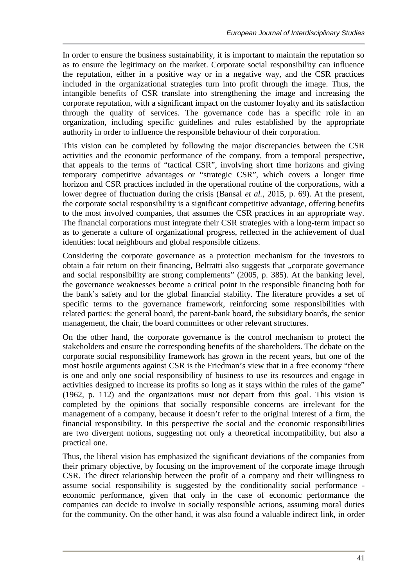In order to ensure the business sustainability, it is important to maintain the reputation so as to ensure the legitimacy on the market. Corporate social responsibility can influence the reputation, either in a positive way or in a negative way, and the CSR practices included in the organizational strategies turn into profit through the image. Thus, the intangible benefits of CSR translate into strengthening the image and increasing the corporate reputation, with a significant impact on the customer loyalty and its satisfaction through the quality of services. The governance code has a specific role in an organization, including specific guidelines and rules established by the appropriate authority in order to influence the responsible behaviour of their corporation.

This vision can be completed by following the major discrepancies between the CSR activities and the economic performance of the company, from a temporal perspective, that appeals to the terms of "tactical CSR", involving short time horizons and giving temporary competitive advantages or "strategic CSR", which covers a longer time horizon and CSR practices included in the operational routine of the corporations, with a lower degree of fluctuation during the crisis (Bansal *et al.*, 2015, p. 69). At the present, the corporate social responsibility is a significant competitive advantage, offering benefits to the most involved companies, that assumes the CSR practices in an appropriate way. The financial corporations must integrate their CSR strategies with a long-term impact so as to generate a culture of organizational progress, reflected in the achievement of dual identities: local neighbours and global responsible citizens.

Considering the corporate governance as a protection mechanism for the investors to obtain a fair return on their financing, Beltratti also suggests that "corporate governance and social responsibility are strong complements" (2005, p. 385). At the banking level, the governance weaknesses become a critical point in the responsible financing both for the bank's safety and for the global financial stability. The literature provides a set of specific terms to the governance framework, reinforcing some responsibilities with related parties: the general board, the parent-bank board, the subsidiary boards, the senior management, the chair, the board committees or other relevant structures.

On the other hand, the corporate governance is the control mechanism to protect the stakeholders and ensure the corresponding benefits of the shareholders. The debate on the corporate social responsibility framework has grown in the recent years, but one of the most hostile arguments against CSR is the Friedman's view that in a free economy "there is one and only one social responsibility of business to use its resources and engage in activities designed to increase its profits so long as it stays within the rules of the game" (1962, p. 112) and the organizations must not depart from this goal. This vision is completed by the opinions that socially responsible concerns are irrelevant for the management of a company, because it doesn't refer to the original interest of a firm, the financial responsibility. In this perspective the social and the economic responsibilities are two divergent notions, suggesting not only a theoretical incompatibility, but also a practical one.

Thus, the liberal vision has emphasized the significant deviations of the companies from their primary objective, by focusing on the improvement of the corporate image through CSR. The direct relationship between the profit of a company and their willingness to assume social responsibility is suggested by the conditionality social performance economic performance, given that only in the case of economic performance the companies can decide to involve in socially responsible actions, assuming moral duties for the community. On the other hand, it was also found a valuable indirect link, in order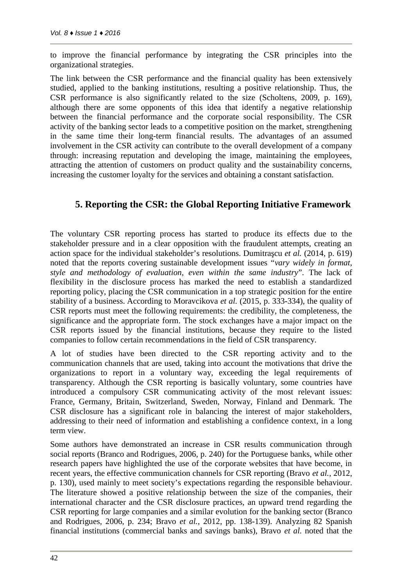to improve the financial performance by integrating the CSR principles into the organizational strategies.

The link between the CSR performance and the financial quality has been extensively studied, applied to the banking institutions, resulting a positive relationship. Thus, the CSR performance is also significantly related to the size (Scholtens, 2009, p. 169), although there are some opponents of this idea that identify a negative relationship between the financial performance and the corporate social responsibility. The CSR activity of the banking sector leads to a competitive position on the market, strengthening in the same time their long-term financial results. The advantages of an assumed involvement in the CSR activity can contribute to the overall development of a company through: increasing reputation and developing the image, maintaining the employees, attracting the attention of customers on product quality and the sustainability concerns, increasing the customer loyalty for the services and obtaining a constant satisfaction.

### **5. Reporting the CSR: the Global Reporting Initiative Framework**

The voluntary CSR reporting process has started to produce its effects due to the stakeholder pressure and in a clear opposition with the fraudulent attempts, creating an action space for the individual stakeholder's resolutions. Dumitra cu *et al.* (2014, p. 619) noted that the reports covering sustainable development issues "*vary widely in format, style and methodology of evaluation, even within the same industry*". The lack of flexibility in the disclosure process has marked the need to establish a standardized reporting policy, placing the CSR communication in a top strategic position for the entire stability of a business. According to Moravcikova *et al.* (2015, p. 333-334), the quality of CSR reports must meet the following requirements: the credibility, the completeness, the significance and the appropriate form. The stock exchanges have a major impact on the CSR reports issued by the financial institutions, because they require to the listed companies to follow certain recommendations in the field of CSR transparency.

A lot of studies have been directed to the CSR reporting activity and to the communication channels that are used, taking into account the motivations that drive the organizations to report in a voluntary way, exceeding the legal requirements of transparency. Although the CSR reporting is basically voluntary, some countries have introduced a compulsory CSR communicating activity of the most relevant issues: France, Germany, Britain, Switzerland, Sweden, Norway, Finland and Denmark. The CSR disclosure has a significant role in balancing the interest of major stakeholders, addressing to their need of information and establishing a confidence context, in a long term view.

Some authors have demonstrated an increase in CSR results communication through social reports (Branco and Rodrigues, 2006, p. 240) for the Portuguese banks, while other research papers have highlighted the use of the corporate websites that have become, in recent years, the effective communication channels for CSR reporting (Bravo *et al.*, 2012, p. 130), used mainly to meet society's expectations regarding the responsible behaviour. The literature showed a positive relationship between the size of the companies, their international character and the CSR disclosure practices, an upward trend regarding the CSR reporting for large companies and a similar evolution for the banking sector (Branco and Rodrigues, 2006, p. 234; Bravo *et al.*, 2012, pp. 138-139). Analyzing 82 Spanish financial institutions (commercial banks and savings banks), Bravo *et al.* noted that the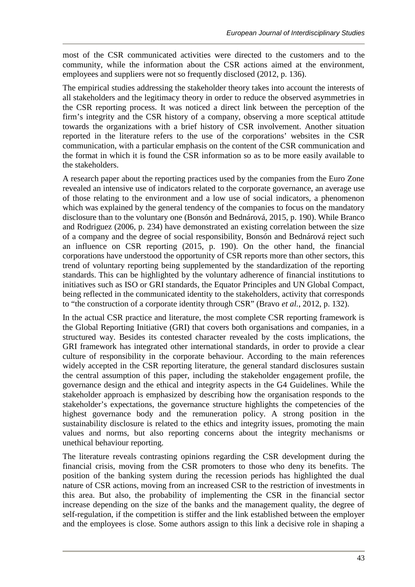most of the CSR communicated activities were directed to the customers and to the community, while the information about the CSR actions aimed at the environment, employees and suppliers were not so frequently disclosed (2012, p. 136).

The empirical studies addressing the stakeholder theory takes into account the interests of all stakeholders and the legitimacy theory in order to reduce the observed asymmetries in the CSR reporting process. It was noticed a direct link between the perception of the firm's integrity and the CSR history of a company, observing a more sceptical attitude towards the organizations with a brief history of CSR involvement. Another situation reported in the literature refers to the use of the corporations' websites in the CSR communication, with a particular emphasis on the content of the CSR communication and the format in which it is found the CSR information so as to be more easily available to the stakeholders.

A research paper about the reporting practices used by the companies from the Euro Zone revealed an intensive use of indicators related to the corporate governance, an average use of those relating to the environment and a low use of social indicators, a phenomenon which was explained by the general tendency of the companies to focus on the mandatory disclosure than to the voluntary one (Bonsón and Bednárová, 2015, p. 190). While Branco and Rodriguez (2006, p. 234) have demonstrated an existing correlation between the size of a company and the degree of social responsibility, Bonsón and Bednárová reject such an influence on CSR reporting (2015, p. 190). On the other hand, the financial corporations have understood the opportunity of CSR reports more than other sectors, this trend of voluntary reporting being supplemented by the standardization of the reporting standards. This can be highlighted by the voluntary adherence of financial institutions to initiatives such as ISO or GRI standards, the Equator Principles and UN Global Compact, being reflected in the communicated identity to the stakeholders, activity that corresponds to "the construction of a corporate identity through CSR" (Bravo *et al.*, 2012, p. 132).

In the actual CSR practice and literature, the most complete CSR reporting framework is the Global Reporting Initiative (GRI) that covers both organisations and companies, in a structured way. Besides its contested character revealed by the costs implications, the GRI framework has integrated other international standards, in order to provide a clear culture of responsibility in the corporate behaviour. According to the main references widely accepted in the CSR reporting literature, the general standard disclosures sustain the central assumption of this paper, including the stakeholder engagement profile, the governance design and the ethical and integrity aspects in the G4 Guidelines. While the stakeholder approach is emphasized by describing how the organisation responds to the stakeholder's expectations, the governance structure highlights the competencies of the highest governance body and the remuneration policy. A strong position in the sustainability disclosure is related to the ethics and integrity issues, promoting the main values and norms, but also reporting concerns about the integrity mechanisms or unethical behaviour reporting.

The literature reveals contrasting opinions regarding the CSR development during the financial crisis, moving from the CSR promoters to those who deny its benefits. The position of the banking system during the recession periods has highlighted the dual nature of CSR actions, moving from an increased CSR to the restriction of investments in this area. But also, the probability of implementing the CSR in the financial sector increase depending on the size of the banks and the management quality, the degree of self-regulation, if the competition is stiffer and the link established between the employer and the employees is close. Some authors assign to this link a decisive role in shaping a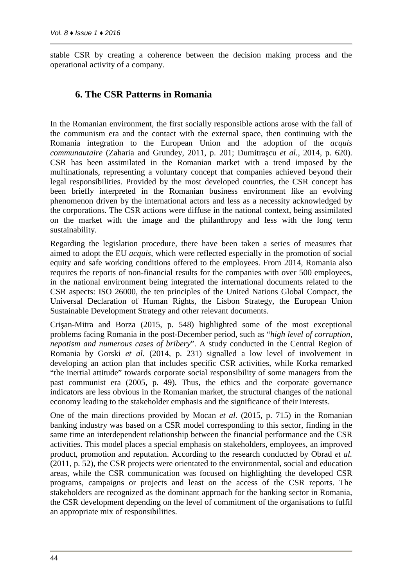stable CSR by creating a coherence between the decision making process and the operational activity of a company.

#### **6. The CSR Patterns in Romania**

In the Romanian environment, the first socially responsible actions arose with the fall of the communism era and the contact with the external space, then continuing with the Romania integration to the European Union and the adoption of the *acquis communautaire* (Zaharia and Grundey, 2011, p. 201; Dumitra cu et al., 2014, p. 620). CSR has been assimilated in the Romanian market with a trend imposed by the multinationals, representing a voluntary concept that companies achieved beyond their legal responsibilities. Provided by the most developed countries, the CSR concept has been briefly interpreted in the Romanian business environment like an evolving phenomenon driven by the international actors and less as a necessity acknowledged by the corporations. The CSR actions were diffuse in the national context, being assimilated on the market with the image and the philanthropy and less with the long term sustainability.

Regarding the legislation procedure, there have been taken a series of measures that aimed to adopt the EU *acquis*, which were reflected especially in the promotion of social equity and safe working conditions offered to the employees. From 2014, Romania also requires the reports of non-financial results for the companies with over 500 employees, in the national environment being integrated the international documents related to the CSR aspects: ISO 26000, the ten principles of the United Nations Global Compact, the Universal Declaration of Human Rights, the Lisbon Strategy, the European Union Sustainable Development Strategy and other relevant documents.

Cri an-Mitra and Borza (2015, p. 548) highlighted some of the most exceptional problems facing Romania in the post-December period, such as "*high level of corruption, nepotism and numerous cases of bribery*". A study conducted in the Central Region of Romania by Gorski *et al.* (2014, p. 231) signalled a low level of involvement in developing an action plan that includes specific CSR activities, while Korka remarked "the inertial attitude" towards corporate social responsibility of some managers from the past communist era (2005, p. 49). Thus, the ethics and the corporate governance indicators are less obvious in the Romanian market, the structural changes of the national economy leading to the stakeholder emphasis and the significance of their interests.

One of the main directions provided by Mocan *et al.* (2015, p. 715) in the Romanian banking industry was based on a CSR model corresponding to this sector, finding in the same time an interdependent relationship between the financial performance and the CSR activities. This model places a special emphasis on stakeholders, employees, an improved product, promotion and reputation. According to the research conducted by Obrad *et al.* (2011, p. 52), the CSR projects were orientated to the environmental, social and education areas, while the CSR communication was focused on highlighting the developed CSR programs, campaigns or projects and least on the access of the CSR reports. The stakeholders are recognized as the dominant approach for the banking sector in Romania, the CSR development depending on the level of commitment of the organisations to fulfil an appropriate mix of responsibilities.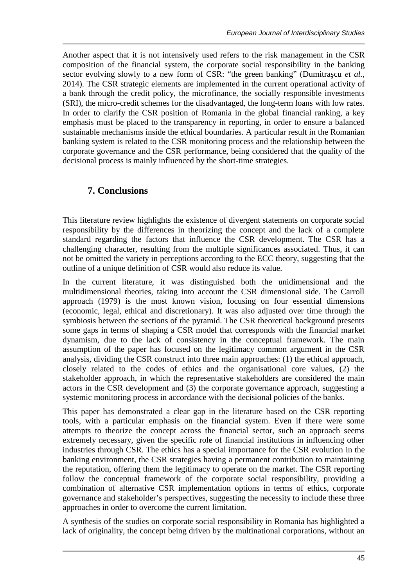Another aspect that it is not intensively used refers to the risk management in the CSR composition of the financial system, the corporate social responsibility in the banking sector evolving slowly to a new form of CSR: "the green banking" (Dumitra cu *et al.*, 2014). The CSR strategic elements are implemented in the current operational activity of a bank through the credit policy, the microfinance, the socially responsible investments (SRI), the micro-credit schemes for the disadvantaged, the long-term loans with low rates. In order to clarify the CSR position of Romania in the global financial ranking, a key emphasis must be placed to the transparency in reporting, in order to ensure a balanced sustainable mechanisms inside the ethical boundaries. A particular result in the Romanian banking system is related to the CSR monitoring process and the relationship between the corporate governance and the CSR performance, being considered that the quality of the decisional process is mainly influenced by the short-time strategies.

## **7. Conclusions**

This literature review highlights the existence of divergent statements on corporate social responsibility by the differences in theorizing the concept and the lack of a complete standard regarding the factors that influence the CSR development. The CSR has a challenging character, resulting from the multiple significances associated. Thus, it can not be omitted the variety in perceptions according to the ECC theory, suggesting that the outline of a unique definition of CSR would also reduce its value.

In the current literature, it was distinguished both the unidimensional and the multidimensional theories, taking into account the CSR dimensional side. The Carroll approach (1979) is the most known vision, focusing on four essential dimensions (economic, legal, ethical and discretionary). It was also adjusted over time through the symbiosis between the sections of the pyramid. The CSR theoretical background presents some gaps in terms of shaping a CSR model that corresponds with the financial market dynamism, due to the lack of consistency in the conceptual framework. The main assumption of the paper has focused on the legitimacy common argument in the CSR analysis, dividing the CSR construct into three main approaches: (1) the ethical approach, closely related to the codes of ethics and the organisational core values, (2) the stakeholder approach, in which the representative stakeholders are considered the main actors in the CSR development and (3) the corporate governance approach, suggesting a systemic monitoring process in accordance with the decisional policies of the banks.

This paper has demonstrated a clear gap in the literature based on the CSR reporting tools, with a particular emphasis on the financial system. Even if there were some attempts to theorize the concept across the financial sector, such an approach seems extremely necessary, given the specific role of financial institutions in influencing other industries through CSR. The ethics has a special importance for the CSR evolution in the banking environment, the CSR strategies having a permanent contribution to maintaining the reputation, offering them the legitimacy to operate on the market. The CSR reporting follow the conceptual framework of the corporate social responsibility, providing a combination of alternative CSR implementation options in terms of ethics, corporate governance and stakeholder's perspectives, suggesting the necessity to include these three approaches in order to overcome the current limitation.

A synthesis of the studies on corporate social responsibility in Romania has highlighted a lack of originality, the concept being driven by the multinational corporations, without an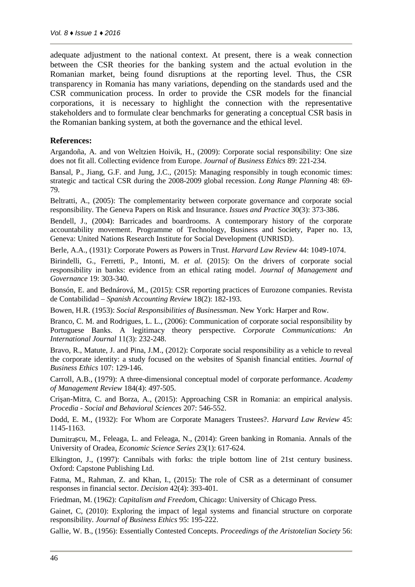adequate adjustment to the national context. At present, there is a weak connection between the CSR theories for the banking system and the actual evolution in the Romanian market, being found disruptions at the reporting level. Thus, the CSR transparency in Romania has many variations, depending on the standards used and the CSR communication process. In order to provide the CSR models for the financial corporations, it is necessary to highlight the connection with the representative stakeholders and to formulate clear benchmarks for generating a conceptual CSR basis in the Romanian banking system, at both the governance and the ethical level.

#### **References:**

Argandoña, A. and von Weltzien Hoivik, H., (2009): Corporate social responsibility: One size does not fit all. Collecting evidence from Europe. *Journal of Business Ethics* 89: 221-234.

Bansal, P., Jiang, G.F. and Jung, J.C., (2015): Managing responsibly in tough economic times: strategic and tactical CSR during the 2008-2009 global recession. *Long Range Planning* 48: 69- 79.

Beltratti, A., (2005): The complementarity between corporate governance and corporate social responsibility. The Geneva Papers on Risk and Insurance. *Issues and Practice* 30(3): 373-386.

Bendell, J., (2004): Barricades and boardrooms. A contemporary history of the corporate accountability movement. Programme of Technology, Business and Society, Paper no. 13, Geneva: United Nations Research Institute for Social Development (UNRISD).

Berle, A.A., (1931): Corporate Powers as Powers in Trust. *Harvard Law Review* 44: 1049-1074.

Birindelli, G., Ferretti, P., Intonti, M. *et al.* (2015): On the drivers of corporate social responsibility in banks: evidence from an ethical rating model. *Journal of Management and Governance* 19: 303-340.

Bonsón, E. and Bednárová, M., (2015): CSR reporting practices of Eurozone companies. Revista de Contabilidad – *Spanish Accounting Review* 18(2): 182-193.

Bowen, H.R. (1953): *Social Responsibilities of Businessman*. New York: Harper and Row.

Branco, C. M. and Rodrigues, L. L., (2006): Communication of corporate social responsibility by Portuguese Banks. A legitimacy theory perspective. *Corporate Communications: An International Journal* 11(3): 232-248.

Bravo, R., Matute, J. and Pina, J.M., (2012): Corporate social responsibility as a vehicle to reveal the corporate identity: a study focused on the websites of Spanish financial entities. *Journal of Business Ethics* 107: 129-146.

Carroll, A.B., (1979): A three-dimensional conceptual model of corporate performance. *Academy of Management Review* 184(4): 497-505.

Cri an-Mitra, C. and Borza, A., (2015): Approaching CSR in Romania: an empirical analysis. *Procedia - Social and Behavioral Sciences* 207: 546-552.

Dodd, E. M., (1932): For Whom are Corporate Managers Trustees?. *Harvard Law Review* 45: 1145-1163.

Dumitra cu, M., Feleaga, L. and Feleaga, N., (2014): Green banking in Romania. Annals of the University of Oradea, *Economic Science Series* 23(1): 617-624.

Elkington, J., (1997): Cannibals with forks: the triple bottom line of 21st century business. Oxford: Capstone Publishing Ltd.

Fatma, M., Rahman, Z. and Khan, I., (2015): The role of CSR as a determinant of consumer responses in financial sector. *Decision* 42(4): 393-401.

Friedman, M. (1962): *Capitalism and Freedom*, Chicago: University of Chicago Press.

Gainet, C, (2010): Exploring the impact of legal systems and financial structure on corporate responsibility. *Journal of Business Ethics* 95: 195-222.

Gallie, W. B., (1956): Essentially Contested Concepts. *Proceedings of the Aristotelian Society* 56: